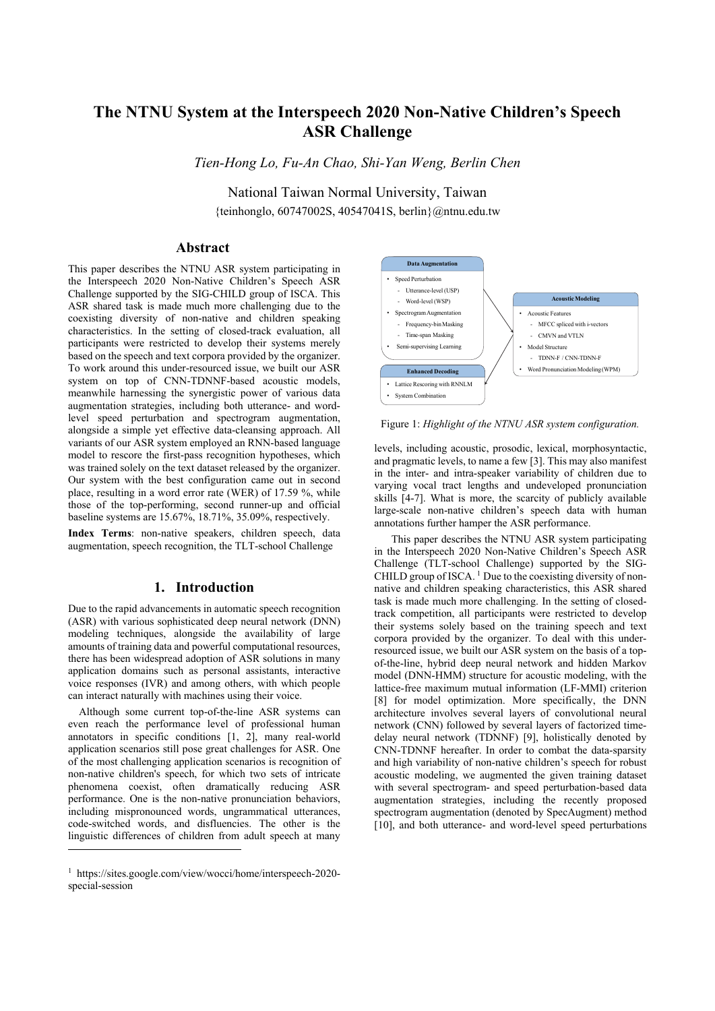# **The NTNU System at the Interspeech 2020 Non-Native Children's Speech ASR Challenge**

*Tien-Hong Lo, Fu-An Chao, Shi-Yan Weng, Berlin Chen* 

National Taiwan Normal University, Taiwan {teinhonglo, 60747002S, 40547041S, berlin}@ntnu.edu.tw

# **Abstract**

This paper describes the NTNU ASR system participating in the Interspeech 2020 Non-Native Children's Speech ASR Challenge supported by the SIG-CHILD group of ISCA. This ASR shared task is made much more challenging due to the coexisting diversity of non-native and children speaking characteristics. In the setting of closed-track evaluation, all participants were restricted to develop their systems merely based on the speech and text corpora provided by the organizer. To work around this under-resourced issue, we built our ASR system on top of CNN-TDNNF-based acoustic models, meanwhile harnessing the synergistic power of various data augmentation strategies, including both utterance- and wordlevel speed perturbation and spectrogram augmentation, alongside a simple yet effective data-cleansing approach. All variants of our ASR system employed an RNN-based language model to rescore the first-pass recognition hypotheses, which was trained solely on the text dataset released by the organizer. Our system with the best configuration came out in second place, resulting in a word error rate (WER) of 17.59 %, while those of the top-performing, second runner-up and official baseline systems are 15.67%, 18.71%, 35.09%, respectively.

**Index Terms**: non-native speakers, children speech, data augmentation, speech recognition, the TLT-school Challenge

# **1. Introduction**

Due to the rapid advancements in automatic speech recognition (ASR) with various sophisticated deep neural network (DNN) modeling techniques, alongside the availability of large amounts of training data and powerful computational resources, there has been widespread adoption of ASR solutions in many application domains such as personal assistants, interactive voice responses (IVR) and among others, with which people can interact naturally with machines using their voice.

Although some current top-of-the-line ASR systems can even reach the performance level of professional human annotators in specific conditions [1, 2], many real-world application scenarios still pose great challenges for ASR. One of the most challenging application scenarios is recognition of non-native children's speech, for which two sets of intricate phenomena coexist, often dramatically reducing ASR performance. One is the non-native pronunciation behaviors, including mispronounced words, ungrammatical utterances, code-switched words, and disfluencies. The other is the linguistic differences of children from adult speech at many

 $\overline{a}$ 



Figure 1: *Highlight of the NTNU ASR system configuration.*

levels, including acoustic, prosodic, lexical, morphosyntactic, and pragmatic levels, to name a few [3]. This may also manifest in the inter- and intra-speaker variability of children due to varying vocal tract lengths and undeveloped pronunciation skills [4-7]. What is more, the scarcity of publicly available large-scale non-native children's speech data with human annotations further hamper the ASR performance.

This paper describes the NTNU ASR system participating in the Interspeech 2020 Non-Native Children's Speech ASR Challenge (TLT-school Challenge) supported by the SIG-CHILD group of ISCA.<sup>1</sup> Due to the coexisting diversity of nonnative and children speaking characteristics, this ASR shared task is made much more challenging. In the setting of closedtrack competition, all participants were restricted to develop their systems solely based on the training speech and text corpora provided by the organizer. To deal with this underresourced issue, we built our ASR system on the basis of a topof-the-line, hybrid deep neural network and hidden Markov model (DNN-HMM) structure for acoustic modeling, with the lattice-free maximum mutual information (LF-MMI) criterion [8] for model optimization. More specifically, the DNN architecture involves several layers of convolutional neural network (CNN) followed by several layers of factorized timedelay neural network (TDNNF) [9], holistically denoted by CNN-TDNNF hereafter. In order to combat the data-sparsity and high variability of non-native children's speech for robust acoustic modeling, we augmented the given training dataset with several spectrogram- and speed perturbation-based data augmentation strategies, including the recently proposed spectrogram augmentation (denoted by SpecAugment) method [10], and both utterance- and word-level speed perturbations

<sup>1</sup> https://sites.google.com/view/wocci/home/interspeech-2020 special-session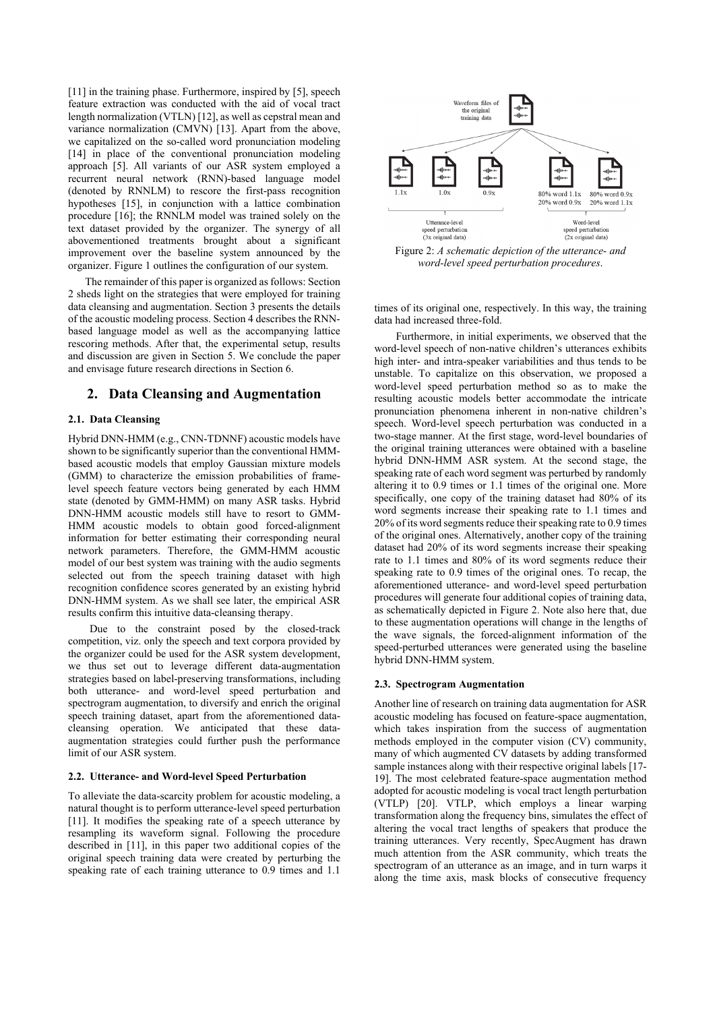[11] in the training phase. Furthermore, inspired by [5], speech feature extraction was conducted with the aid of vocal tract length normalization (VTLN) [12], as well as cepstral mean and variance normalization (CMVN) [13]. Apart from the above, we capitalized on the so-called word pronunciation modeling [14] in place of the conventional pronunciation modeling approach [5]. All variants of our ASR system employed a recurrent neural network (RNN)-based language model (denoted by RNNLM) to rescore the first-pass recognition hypotheses [15], in conjunction with a lattice combination procedure [16]; the RNNLM model was trained solely on the text dataset provided by the organizer. The synergy of all abovementioned treatments brought about a significant improvement over the baseline system announced by the organizer. Figure 1 outlines the configuration of our system.

The remainder of this paper is organized as follows: Section 2 sheds light on the strategies that were employed for training data cleansing and augmentation. Section 3 presents the details of the acoustic modeling process. Section 4 describes the RNNbased language model as well as the accompanying lattice rescoring methods. After that, the experimental setup, results and discussion are given in Section 5. We conclude the paper and envisage future research directions in Section 6.

# **2. Data Cleansing and Augmentation**

#### **2.1. Data Cleansing**

Hybrid DNN-HMM (e.g., CNN-TDNNF) acoustic models have shown to be significantly superior than the conventional HMMbased acoustic models that employ Gaussian mixture models (GMM) to characterize the emission probabilities of framelevel speech feature vectors being generated by each HMM state (denoted by GMM-HMM) on many ASR tasks. Hybrid DNN-HMM acoustic models still have to resort to GMM-HMM acoustic models to obtain good forced-alignment information for better estimating their corresponding neural network parameters. Therefore, the GMM-HMM acoustic model of our best system was training with the audio segments selected out from the speech training dataset with high recognition confidence scores generated by an existing hybrid DNN-HMM system. As we shall see later, the empirical ASR results confirm this intuitive data-cleansing therapy.

Due to the constraint posed by the closed-track competition, viz. only the speech and text corpora provided by the organizer could be used for the ASR system development, we thus set out to leverage different data-augmentation strategies based on label-preserving transformations, including both utterance- and word-level speed perturbation and spectrogram augmentation, to diversify and enrich the original speech training dataset, apart from the aforementioned datacleansing operation. We anticipated that these dataaugmentation strategies could further push the performance limit of our ASR system.

## **2.2. Utterance- and Word-level Speed Perturbation**

To alleviate the data-scarcity problem for acoustic modeling, a natural thought is to perform utterance-level speed perturbation [11]. It modifies the speaking rate of a speech utterance by resampling its waveform signal. Following the procedure described in [11], in this paper two additional copies of the original speech training data were created by perturbing the speaking rate of each training utterance to 0.9 times and 1.1



Figure 2: *A schematic depiction of the utterance- and word-level speed perturbation procedures*.

times of its original one, respectively. In this way, the training data had increased three-fold.

Furthermore, in initial experiments, we observed that the word-level speech of non-native children's utterances exhibits high inter- and intra-speaker variabilities and thus tends to be unstable. To capitalize on this observation, we proposed a word-level speed perturbation method so as to make the resulting acoustic models better accommodate the intricate pronunciation phenomena inherent in non-native children's speech. Word-level speech perturbation was conducted in a two-stage manner. At the first stage, word-level boundaries of the original training utterances were obtained with a baseline hybrid DNN-HMM ASR system. At the second stage, the speaking rate of each word segment was perturbed by randomly altering it to 0.9 times or 1.1 times of the original one. More specifically, one copy of the training dataset had 80% of its word segments increase their speaking rate to 1.1 times and 20% of its word segments reduce their speaking rate to 0.9 times of the original ones. Alternatively, another copy of the training dataset had 20% of its word segments increase their speaking rate to 1.1 times and 80% of its word segments reduce their speaking rate to 0.9 times of the original ones. To recap, the aforementioned utterance- and word-level speed perturbation procedures will generate four additional copies of training data, as schematically depicted in Figure 2. Note also here that, due to these augmentation operations will change in the lengths of the wave signals, the forced-alignment information of the speed-perturbed utterances were generated using the baseline hybrid DNN-HMM system.

#### **2.3. Spectrogram Augmentation**

Another line of research on training data augmentation for ASR acoustic modeling has focused on feature-space augmentation, which takes inspiration from the success of augmentation methods employed in the computer vision (CV) community, many of which augmented CV datasets by adding transformed sample instances along with their respective original labels [17- 19]. The most celebrated feature-space augmentation method adopted for acoustic modeling is vocal tract length perturbation (VTLP) [20]. VTLP, which employs a linear warping transformation along the frequency bins, simulates the effect of altering the vocal tract lengths of speakers that produce the training utterances. Very recently, SpecAugment has drawn much attention from the ASR community, which treats the spectrogram of an utterance as an image, and in turn warps it along the time axis, mask blocks of consecutive frequency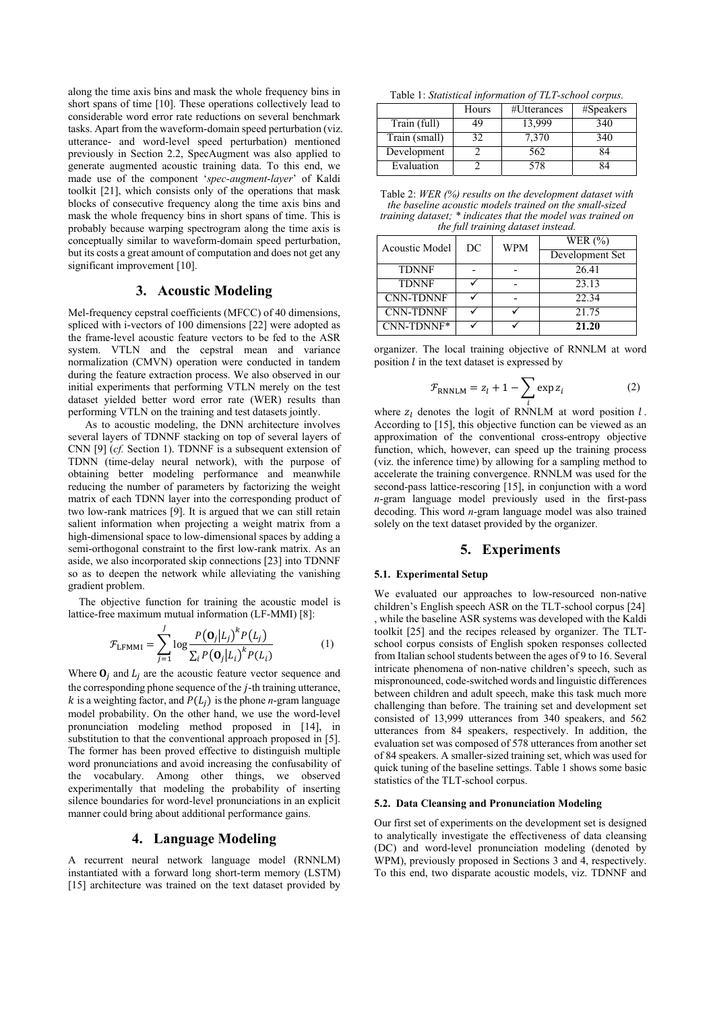along the time axis bins and mask the whole frequency bins in short spans of time [10]. These operations collectively lead to considerable word error rate reductions on several benchmark tasks. Apart from the waveform-domain speed perturbation (viz. utterance- and word-level speed perturbation) mentioned previously in Section 2.2, SpecAugment was also applied to generate augmented acoustic training data. To this end, we made use of the component '*spec-augment-layer*' of Kaldi toolkit [21], which consists only of the operations that mask blocks of consecutive frequency along the time axis bins and mask the whole frequency bins in short spans of time. This is probably because warping spectrogram along the time axis is conceptually similar to waveform-domain speed perturbation, but its costs a great amount of computation and does not get any significant improvement [10].

# **3. Acoustic Modeling**

Mel-frequency cepstral coefficients (MFCC) of 40 dimensions, spliced with i-vectors of 100 dimensions [22] were adopted as the frame-level acoustic feature vectors to be fed to the ASR system. VTLN and the cepstral mean and variance normalization (CMVN) operation were conducted in tandem during the feature extraction process. We also observed in our initial experiments that performing VTLN merely on the test dataset yielded better word error rate (WER) results than performing VTLN on the training and test datasets jointly.

As to acoustic modeling, the DNN architecture involves several layers of TDNNF stacking on top of several layers of CNN [9] (*cf.* Section 1). TDNNF is a subsequent extension of TDNN (time-delay neural network), with the purpose of obtaining better modeling performance and meanwhile reducing the number of parameters by factorizing the weight matrix of each TDNN layer into the corresponding product of two low-rank matrices [9]. It is argued that we can still retain salient information when projecting a weight matrix from a high-dimensional space to low-dimensional spaces by adding a semi-orthogonal constraint to the first low-rank matrix. As an aside, we also incorporated skip connections [23] into TDNNF so as to deepen the network while alleviating the vanishing gradient problem.

The objective function for training the acoustic model is lattice-free maximum mutual information (LF-MMI) [8]:

$$
\mathcal{F}_{LFMMI} = \sum_{j=1}^{J} \log \frac{P(\mathbf{O}_j | L_j)^k P(L_j)}{\sum_i P(\mathbf{O}_j | L_i)^k P(L_i)}
$$
(1)

Where  $\mathbf{O}_i$  and  $L_i$  are the acoustic feature vector sequence and the corresponding phone sequence of the  $j$ -th training utterance,  $k$  is a weighting factor, and  $P(L_i)$  is the phone *n*-gram language model probability. On the other hand, we use the word-level pronunciation modeling method proposed in [14], in substitution to that the conventional approach proposed in [5]. The former has been proved effective to distinguish multiple word pronunciations and avoid increasing the confusability of the vocabulary. Among other things, we observed experimentally that modeling the probability of inserting silence boundaries for word-level pronunciations in an explicit manner could bring about additional performance gains.

## **4. Language Modeling**

A recurrent neural network language model (RNNLM) instantiated with a forward long short-term memory (LSTM) [15] architecture was trained on the text dataset provided by

Table 1: *Statistical information of TLT-school corpus.*

|               | Hours | #Utterances | #Speakers |
|---------------|-------|-------------|-----------|
| Train (full)  | 49    | 13.999      | 340       |
| Train (small) | 32.   | 7,370       | 340       |
| Development   |       | 562         | 84        |
| Evaluation    |       | 578         |           |

Table 2: *WER (%) results on the development dataset with the baseline acoustic models trained on the small-sized training dataset; \* indicates that the model was trained on the full training dataset instead.* 

| Acoustic Model   | DC | <b>WPM</b> | WER $(%)$       |
|------------------|----|------------|-----------------|
|                  |    |            | Development Set |
| <b>TDNNF</b>     |    |            | 26.41           |
| <b>TDNNF</b>     |    |            | 23.13           |
| <b>CNN-TDNNF</b> |    |            | 22.34           |
| <b>CNN-TDNNF</b> |    |            | 21.75           |
| CNN-TDNNF*       |    |            | 21.20           |

organizer. The local training objective of RNNLM at word position  $l$  in the text dataset is expressed by

$$
\mathcal{F}_{\text{RNNLM}} = z_l + 1 - \sum_{i} \exp z_i \tag{2}
$$

where  $z_l$  denotes the logit of RNNLM at word position  $l$ . According to [15], this objective function can be viewed as an approximation of the conventional cross-entropy objective function, which, however, can speed up the training process (viz. the inference time) by allowing for a sampling method to accelerate the training convergence. RNNLM was used for the second-pass lattice-rescoring [15], in conjunction with a word *n*-gram language model previously used in the first-pass decoding. This word *n*-gram language model was also trained solely on the text dataset provided by the organizer.

## **5. Experiments**

#### **5.1. Experimental Setup**

We evaluated our approaches to low-resourced non-native children's English speech ASR on the TLT-school corpus [24] , while the baseline ASR systems was developed with the Kaldi toolkit [25] and the recipes released by organizer. The TLTschool corpus consists of English spoken responses collected from Italian school students between the ages of 9 to 16. Several intricate phenomena of non-native children's speech, such as mispronounced, code-switched words and linguistic differences between children and adult speech, make this task much more challenging than before. The training set and development set consisted of 13,999 utterances from 340 speakers, and 562 utterances from 84 speakers, respectively. In addition, the evaluation set was composed of 578 utterances from another set of 84 speakers. A smaller-sized training set, which was used for quick tuning of the baseline settings. Table 1 shows some basic statistics of the TLT-school corpus.

#### **5.2. Data Cleansing and Pronunciation Modeling**

Our first set of experiments on the development set is designed to analytically investigate the effectiveness of data cleansing (DC) and word-level pronunciation modeling (denoted by WPM), previously proposed in Sections 3 and 4, respectively. To this end, two disparate acoustic models, viz. TDNNF and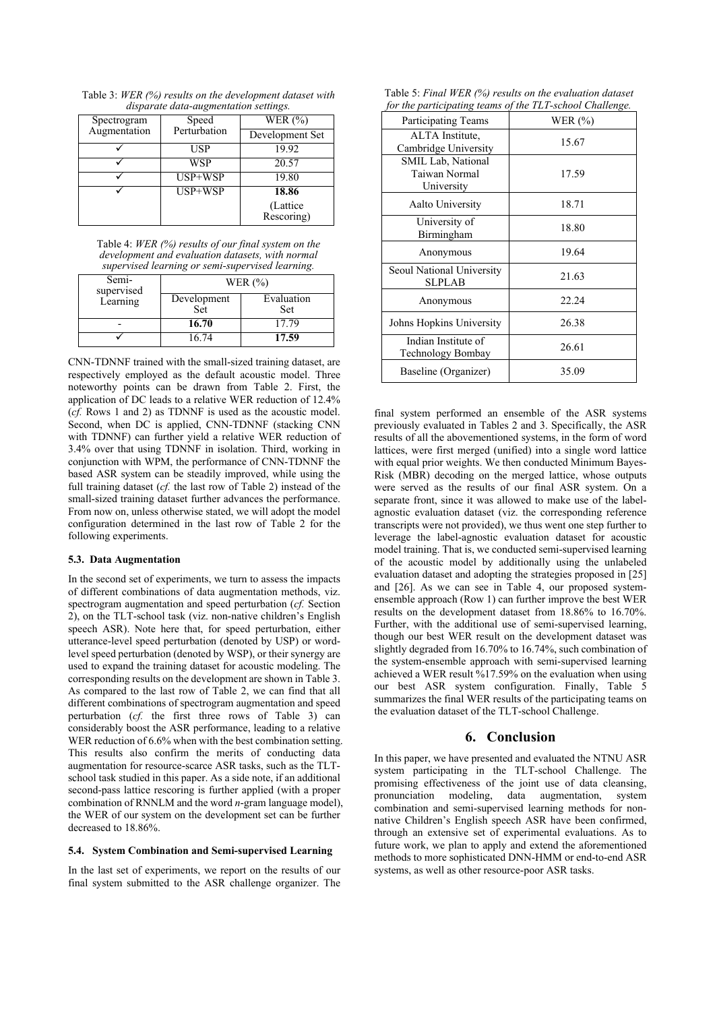Table 3: *WER (%) results on the development dataset with disparate data-augmentation settings.* 

| Spectrogram  | Speed        | WER $(\% )$     |
|--------------|--------------|-----------------|
| Augmentation | Perturbation | Development Set |
|              | <b>USP</b>   | 19.92           |
|              | <b>WSP</b>   | 20.57           |
|              | USP+WSP      | 19.80           |
|              | $USP+WSP$    | 18.86           |
|              |              | (Lattice)       |
|              |              | Rescoring)      |

Table 4: *WER (%) results of our final system on the development and evaluation datasets, with normal supervised learning or semi-supervised learning.* 

| Semi-<br>supervised |                    | WER $(\% )$              |
|---------------------|--------------------|--------------------------|
| Learning            | Development<br>Set | Evaluation<br><b>Set</b> |
|                     | 16.70              | 17.79                    |
|                     | 16.74              | 17.59                    |

CNN-TDNNF trained with the small-sized training dataset, are respectively employed as the default acoustic model. Three noteworthy points can be drawn from Table 2. First, the application of DC leads to a relative WER reduction of 12.4% (*cf.* Rows 1 and 2) as TDNNF is used as the acoustic model. Second, when DC is applied, CNN-TDNNF (stacking CNN with TDNNF) can further yield a relative WER reduction of 3.4% over that using TDNNF in isolation. Third, working in conjunction with WPM, the performance of CNN-TDNNF the based ASR system can be steadily improved, while using the full training dataset (*cf.* the last row of Table 2) instead of the small-sized training dataset further advances the performance. From now on, unless otherwise stated, we will adopt the model configuration determined in the last row of Table 2 for the following experiments.

### **5.3. Data Augmentation**

In the second set of experiments, we turn to assess the impacts of different combinations of data augmentation methods, viz. spectrogram augmentation and speed perturbation (*cf.* Section 2), on the TLT-school task (viz. non-native children's English speech ASR). Note here that, for speed perturbation, either utterance-level speed perturbation (denoted by USP) or wordlevel speed perturbation (denoted by WSP), or their synergy are used to expand the training dataset for acoustic modeling. The corresponding results on the development are shown in Table 3. As compared to the last row of Table 2, we can find that all different combinations of spectrogram augmentation and speed perturbation (*cf.* the first three rows of Table 3) can considerably boost the ASR performance, leading to a relative WER reduction of 6.6% when with the best combination setting. This results also confirm the merits of conducting data augmentation for resource-scarce ASR tasks, such as the TLTschool task studied in this paper. As a side note, if an additional second-pass lattice rescoring is further applied (with a proper combination of RNNLM and the word *n*-gram language model), the WER of our system on the development set can be further decreased to 18.86%.

#### **5.4. System Combination and Semi-supervised Learning**

In the last set of experiments, we report on the results of our final system submitted to the ASR challenge organizer. The

| Table 5: Final WER (%) results on the evaluation dataset |  |
|----------------------------------------------------------|--|
| for the participating teams of the TLT-school Challenge. |  |

| <b>Participating Teams</b>                        | WER $(\% )$ |
|---------------------------------------------------|-------------|
| ALTA Institute,<br>Cambridge University           | 15.67       |
| SMIL Lab, National<br>Taiwan Normal<br>University | 17.59       |
| Aalto University                                  | 18.71       |
| University of<br>Birmingham                       | 18.80       |
| Anonymous                                         | 19.64       |
| Seoul National University<br><b>SLPLAB</b>        | 21.63       |
| Anonymous                                         | 22.24       |
| Johns Hopkins University                          | 26.38       |
| Indian Institute of<br>Technology Bombay          | 26.61       |
| Baseline (Organizer)                              | 35.09       |

final system performed an ensemble of the ASR systems previously evaluated in Tables 2 and 3. Specifically, the ASR results of all the abovementioned systems, in the form of word lattices, were first merged (unified) into a single word lattice with equal prior weights. We then conducted Minimum Bayes-Risk (MBR) decoding on the merged lattice, whose outputs were served as the results of our final ASR system. On a separate front, since it was allowed to make use of the labelagnostic evaluation dataset (viz. the corresponding reference transcripts were not provided), we thus went one step further to leverage the label-agnostic evaluation dataset for acoustic model training. That is, we conducted semi-supervised learning of the acoustic model by additionally using the unlabeled evaluation dataset and adopting the strategies proposed in [25] and [26]. As we can see in Table 4, our proposed systemensemble approach (Row 1) can further improve the best WER results on the development dataset from 18.86% to 16.70%. Further, with the additional use of semi-supervised learning, though our best WER result on the development dataset was slightly degraded from 16.70% to 16.74%, such combination of the system-ensemble approach with semi-supervised learning achieved a WER result %17.59% on the evaluation when using our best ASR system configuration. Finally, Table 5 summarizes the final WER results of the participating teams on the evaluation dataset of the TLT-school Challenge.

# **6. Conclusion**

In this paper, we have presented and evaluated the NTNU ASR system participating in the TLT-school Challenge. The promising effectiveness of the joint use of data cleansing, pronunciation modeling, data augmentation, system combination and semi-supervised learning methods for nonnative Children's English speech ASR have been confirmed, through an extensive set of experimental evaluations. As to future work, we plan to apply and extend the aforementioned methods to more sophisticated DNN-HMM or end-to-end ASR systems, as well as other resource-poor ASR tasks.